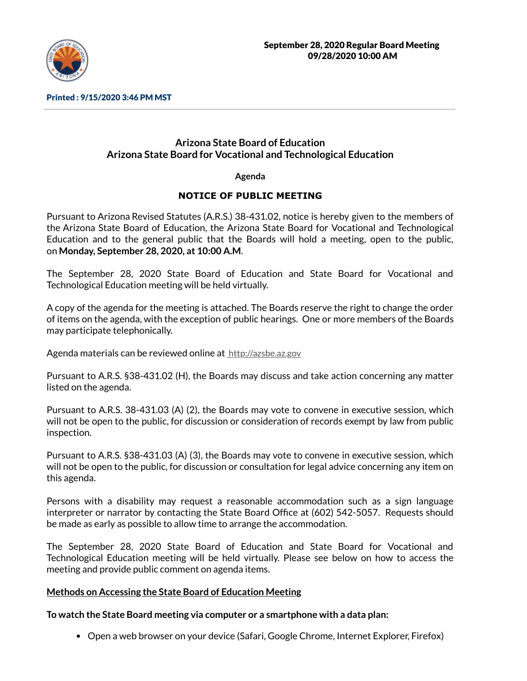

Printed : 9/15/2020 3:46 PM MST

# **Arizona State Board of Education Arizona State Board for Vocational and Technological Education**

**Agenda**

## **NOTICE OF PUBLIC MEETING**

Pursuant to Arizona Revised Statutes (A.R.S.) 38-431.02, notice is hereby given to the members of the Arizona State Board of Education, the Arizona State Board for Vocational and Technological Education and to the general public that the Boards will hold a meeting, open to the public, on **Monday, September 28, 2020, at 10:00 A.M**.

The September 28, 2020 State Board of Education and State Board for Vocational and Technological Education meeting will be held virtually.

A copy of the agenda for the meeting is attached. The Boards reserve the right to change the order of items on the agenda, with the exception of public hearings. One or more members of the Boards may participate telephonically.

Agenda materials can be reviewed online at [http://azsbe.az.gov](http://azsbe.az.gov/)

Pursuant to A.R.S. §38-431.02 (H), the Boards may discuss and take action concerning any matter listed on the agenda.

Pursuant to A.R.S. 38-431.03 (A) (2), the Boards may vote to convene in executive session, which will not be open to the public, for discussion or consideration of records exempt by law from public inspection.

Pursuant to A.R.S. §38-431.03 (A) (3), the Boards may vote to convene in executive session, which will not be open to the public, for discussion or consultation for legal advice concerning any item on this agenda.

Persons with a disability may request a reasonable accommodation such as a sign language interpreter or narrator by contacting the State Board Office at (602) 542-5057. Requests should be made as early as possible to allow time to arrange the accommodation.

The September 28, 2020 State Board of Education and State Board for Vocational and Technological Education meeting will be held virtually. Please see below on how to access the meeting and provide public comment on agenda items.

## **Methods on Accessing the State Board of Education Meeting**

**To watch the State Board meeting via computer or a smartphone with a data plan:**

• Open a web browser on your device (Safari, Google Chrome, Internet Explorer, Firefox)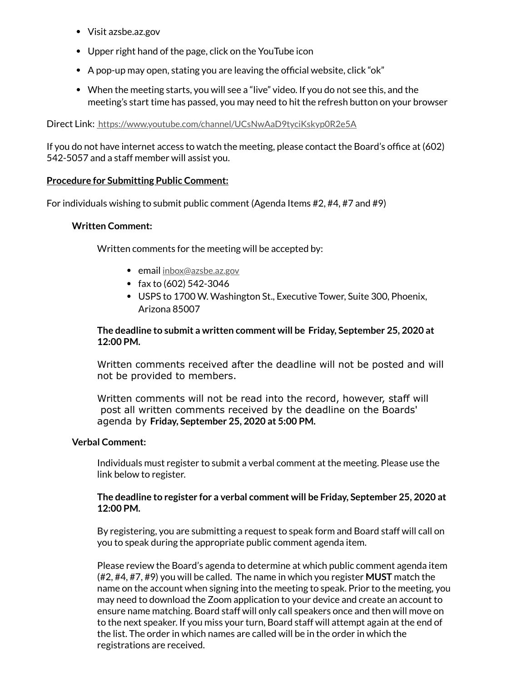- Visit azsbe.az.gov
- Upper right hand of the page, click on the YouTube icon
- $\bullet$  A pop-up may open, stating you are leaving the official website, click "ok"
- When the meeting starts, you will see a "live" video. If you do not see this, and the meeting's start time has passed, you may need to hit the refresh button on your browser

Direct Link: <https://www.youtube.com/channel/UCsNwAaD9tyciKskyp0R2e5A>

If you do not have internet access to watch the meeting, please contact the Board's office at  $(602)$ 542-5057 and a staff member will assist you.

#### **Procedure for Submitting Public Comment:**

For individuals wishing to submit public comment (Agenda Items #2, #4, #7 and #9)

#### **Written Comment:**

Written comments for the meeting will be accepted by:

- email [inbox@azsbe.az.gov](mailto:inbox@azsbe.az.gov)
- $\bullet$  fax to (602) 542-3046
- USPS to 1700 W. Washington St., Executive Tower, Suite 300, Phoenix, Arizona 85007

#### **The deadline to submit a written comment will be Friday, September 25, 2020 at 12:00 PM.**

Written comments received after the deadline will not be posted and will not be provided to members.

Written comments will not be read into the record, however, staff will post all written comments received by the deadline on the Boards' agenda by **Friday, September 25, 2020 at 5:00 PM.**

#### **Verbal Comment:**

Individuals must register to submit a verbal comment at the meeting. Please use the link below to register.

#### **The deadline to register for a verbal comment will be Friday, September 25, 2020 at 12:00 PM.**

By registering, you are submitting a request to speak form and Board staff will call on you to speak during the appropriate public comment agenda item.

Please review the Board's agenda to determine at which public comment agenda item (#2, #4, #7, #9) you will be called. The name in which you register **MUST** match the name on the account when signing into the meeting to speak. Prior to the meeting, you may need to download the Zoom application to your device and create an account to ensure name matching. Board staff will only call speakers once and then will move on to the next speaker. If you miss your turn, Board staff will attempt again at the end of the list. The order in which names are called will be in the order in which the registrations are received.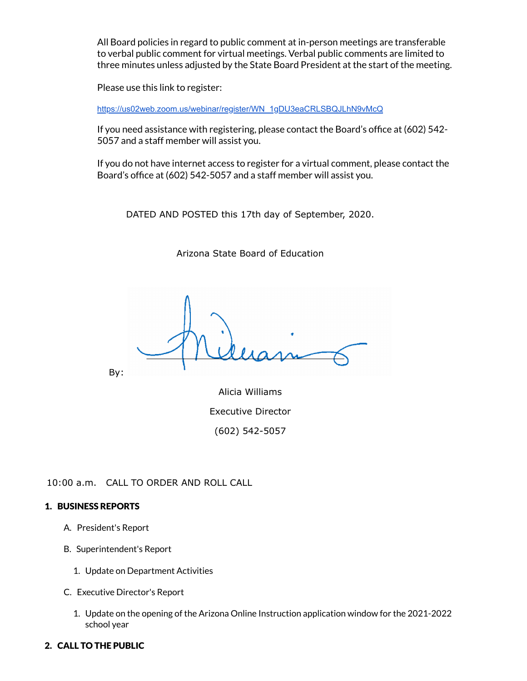All Board policies in regard to public comment at in-person meetings are transferable to verbal public comment for virtual meetings. Verbal public comments are limited to three minutes unless adjusted by the State Board President at the start of the meeting.

Please use this link to register:

[https://us02web.zoom.us/webinar/register/WN\\_1gDU3eaCRLSBQJLhN9vMcQ](https://us02web.zoom.us/webinar/register/WN_1gDU3eaCRLSBQJLhN9vMcQ)

If you need assistance with registering, please contact the Board's office at (602) 542-5057 and a staff member will assist you.

If you do not have internet access to register for a virtual comment, please contact the Board's office at (602) 542-5057 and a staff member will assist you.

DATED AND POSTED this 17th day of September, 2020.

Arizona State Board of Education

By:

Alicia Williams Executive Director (602) 542-5057

10:00 a.m. CALL TO ORDER AND ROLL CALL

## 1. BUSINESS REPORTS

- A. President's Report
- B. Superintendent's Report
	- 1. Update on Department Activities
- C. Executive Director's Report
	- 1. Update on the opening of the Arizona Online Instruction application window for the 2021-2022 school year

## 2. CALL TO THE PUBLIC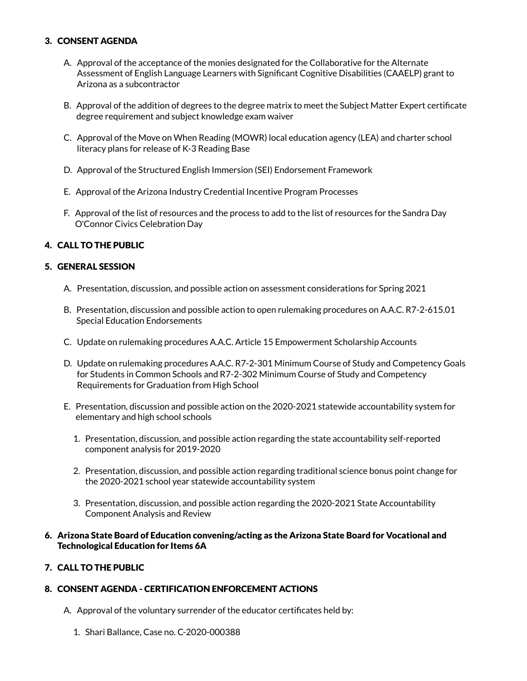#### 3. CONSENT AGENDA

- A. Approval of the acceptance of the monies designated for the Collaborative for the Alternate Assessment of English Language Learners with Significant Cognitive Disabilities (CAAELP) grant to Arizona as a subcontractor
- B. Approval of the addition of degrees to the degree matrix to meet the Subject Matter Expert certificate degree requirement and subject knowledge exam waiver
- C. Approval of the Move on When Reading (MOWR) local education agency (LEA) and charter school literacy plans for release of K-3 Reading Base
- D. Approval of the Structured English Immersion (SEI) Endorsement Framework
- E. Approval of the Arizona Industry Credential Incentive Program Processes
- F. Approval of the list of resources and the process to add to the list of resources for the Sandra Day O'Connor Civics Celebration Day

## 4. CALL TO THE PUBLIC

#### 5. GENERAL SESSION

- A. Presentation, discussion, and possible action on assessment considerations for Spring 2021
- B. Presentation, discussion and possible action to open rulemaking procedures on A.A.C. R7-2-615.01 Special Education Endorsements
- C. Update on rulemaking procedures A.A.C. Article 15 Empowerment Scholarship Accounts
- D. Update on rulemaking procedures A.A.C. R7-2-301 Minimum Course of Study and Competency Goals for Students in Common Schools and R7-2-302 Minimum Course of Study and Competency Requirements for Graduation from High School
- E. Presentation, discussion and possible action on the 2020-2021 statewide accountability system for elementary and high school schools
	- 1. Presentation, discussion, and possible action regarding the state accountability self-reported component analysis for 2019-2020
	- 2. Presentation, discussion, and possible action regarding traditional science bonus point change for the 2020-2021 school year statewide accountability system
	- 3. Presentation, discussion, and possible action regarding the 2020-2021 State Accountability Component Analysis and Review

#### 6. Arizona State Board of Education convening/acting as the Arizona State Board for Vocational and Technological Education for Items 6A

#### 7. CALL TO THE PUBLIC

## 8. CONSENT AGENDA - CERTIFICATION ENFORCEMENT ACTIONS

- A. Approval of the voluntary surrender of the educator certificates held by:
	- 1. Shari Ballance, Case no. C-2020-000388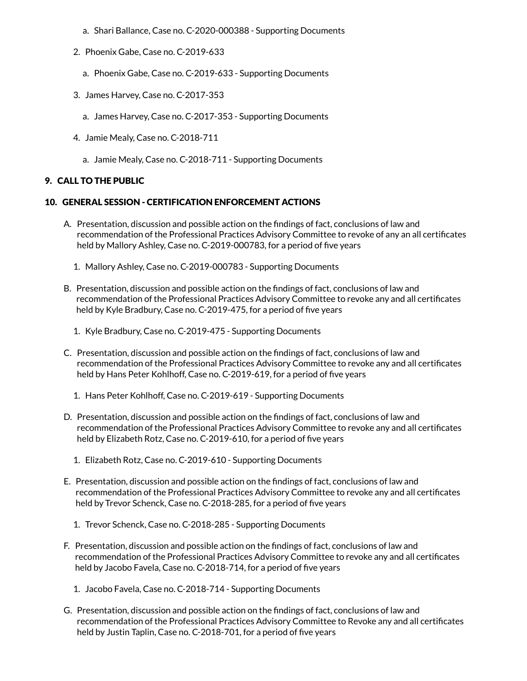- a. Shari Ballance, Case no. C-2020-000388 Supporting Documents
- 2. Phoenix Gabe, Case no. C-2019-633
	- a. Phoenix Gabe, Case no. C-2019-633 Supporting Documents
- 3. James Harvey, Case no. C-2017-353
	- a. James Harvey, Case no. C-2017-353 Supporting Documents
- 4. Jamie Mealy, Case no. C-2018-711
	- a. Jamie Mealy, Case no. C-2018-711 Supporting Documents

#### 9. CALL TO THE PUBLIC

#### 10. GENERAL SESSION - CERTIFICATION ENFORCEMENT ACTIONS

- A. Presentation, discussion and possible action on the findings of fact, conclusions of law and recommendation of the Professional Practices Advisory Committee to revoke of any an all certificates held by Mallory Ashley, Case no. C-2019-000783, for a period of five years
	- 1. Mallory Ashley, Case no. C-2019-000783 Supporting Documents
- B. Presentation, discussion and possible action on the findings of fact, conclusions of law and recommendation of the Professional Practices Advisory Committee to revoke any and all certificates held by Kyle Bradbury, Case no. C-2019-475, for a period of five years
	- 1. Kyle Bradbury, Case no. C-2019-475 Supporting Documents
- C. Presentation, discussion and possible action on the findings of fact, conclusions of law and recommendation of the Professional Practices Advisory Committee to revoke any and all certificates held by Hans Peter Kohlhoff, Case no. C-2019-619, for a period of five years
	- 1. Hans Peter Kohlhoff, Case no. C-2019-619 Supporting Documents
- D. Presentation, discussion and possible action on the findings of fact, conclusions of law and recommendation of the Professional Practices Advisory Committee to revoke any and all certificates held by Elizabeth Rotz, Case no. C-2019-610, for a period of five years
	- 1. Elizabeth Rotz, Case no. C-2019-610 Supporting Documents
- E. Presentation, discussion and possible action on the findings of fact, conclusions of law and recommendation of the Professional Practices Advisory Committee to revoke any and all certificates held by Trevor Schenck, Case no. C-2018-285, for a period of five years
	- 1. Trevor Schenck, Case no. C-2018-285 Supporting Documents
- F. Presentation, discussion and possible action on the findings of fact, conclusions of law and recommendation of the Professional Practices Advisory Committee to revoke any and all certificates held by Jacobo Favela, Case no. C-2018-714, for a period of five years
	- 1. Jacobo Favela, Case no. C-2018-714 Supporting Documents
- G. Presentation, discussion and possible action on the findings of fact, conclusions of law and recommendation of the Professional Practices Advisory Committee to Revoke any and all certificates held by Justin Taplin, Case no. C-2018-701, for a period of five years